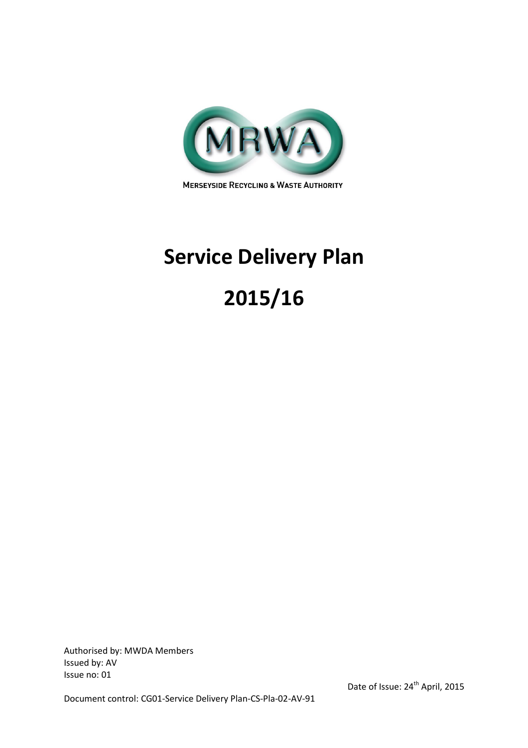

**MERSEYSIDE RECYCLING & WASTE AUTHORITY** 

# Service Delivery Plan

# 2015/16

Authorised by: MWDA Members Issued by: AV Issue no: 01

Document control: CG01-Service Delivery Plan-CS-Pla-02-AV-91

Date of Issue: 24<sup>th</sup> April, 2015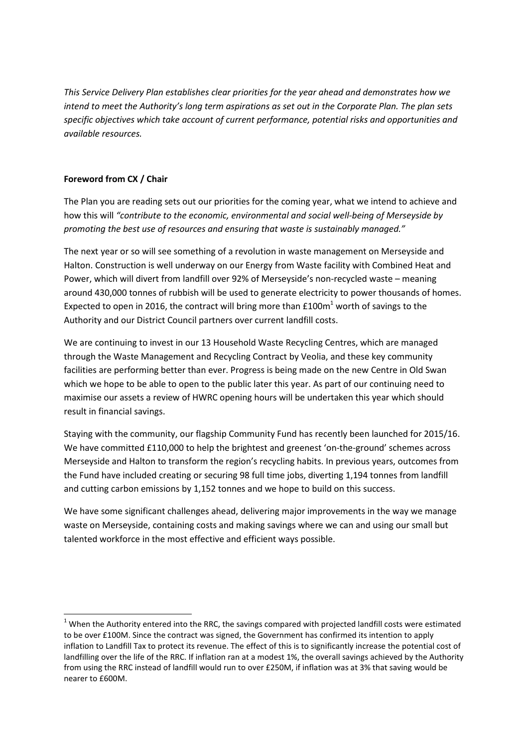This Service Delivery Plan establishes clear priorities for the year ahead and demonstrates how we intend to meet the Authority's long term aspirations as set out in the Corporate Plan. The plan sets specific objectives which take account of current performance, potential risks and opportunities and available resources.

# Foreword from CX / Chair

 $\overline{\phantom{0}}$ 

The Plan you are reading sets out our priorities for the coming year, what we intend to achieve and how this will "contribute to the economic, environmental and social well-being of Merseyside by promoting the best use of resources and ensuring that waste is sustainably managed."

The next year or so will see something of a revolution in waste management on Merseyside and Halton. Construction is well underway on our Energy from Waste facility with Combined Heat and Power, which will divert from landfill over 92% of Merseyside's non-recycled waste – meaning around 430,000 tonnes of rubbish will be used to generate electricity to power thousands of homes. Expected to open in 2016, the contract will bring more than £100 $m^1$  worth of savings to the Authority and our District Council partners over current landfill costs.

We are continuing to invest in our 13 Household Waste Recycling Centres, which are managed through the Waste Management and Recycling Contract by Veolia, and these key community facilities are performing better than ever. Progress is being made on the new Centre in Old Swan which we hope to be able to open to the public later this year. As part of our continuing need to maximise our assets a review of HWRC opening hours will be undertaken this year which should result in financial savings.

Staying with the community, our flagship Community Fund has recently been launched for 2015/16. We have committed £110,000 to help the brightest and greenest 'on-the-ground' schemes across Merseyside and Halton to transform the region's recycling habits. In previous years, outcomes from the Fund have included creating or securing 98 full time jobs, diverting 1,194 tonnes from landfill and cutting carbon emissions by 1,152 tonnes and we hope to build on this success.

We have some significant challenges ahead, delivering major improvements in the way we manage waste on Merseyside, containing costs and making savings where we can and using our small but talented workforce in the most effective and efficient ways possible.

 $1$  When the Authority entered into the RRC, the savings compared with projected landfill costs were estimated to be over £100M. Since the contract was signed, the Government has confirmed its intention to apply inflation to Landfill Tax to protect its revenue. The effect of this is to significantly increase the potential cost of landfilling over the life of the RRC. If inflation ran at a modest 1%, the overall savings achieved by the Authority from using the RRC instead of landfill would run to over £250M, if inflation was at 3% that saving would be nearer to £600M.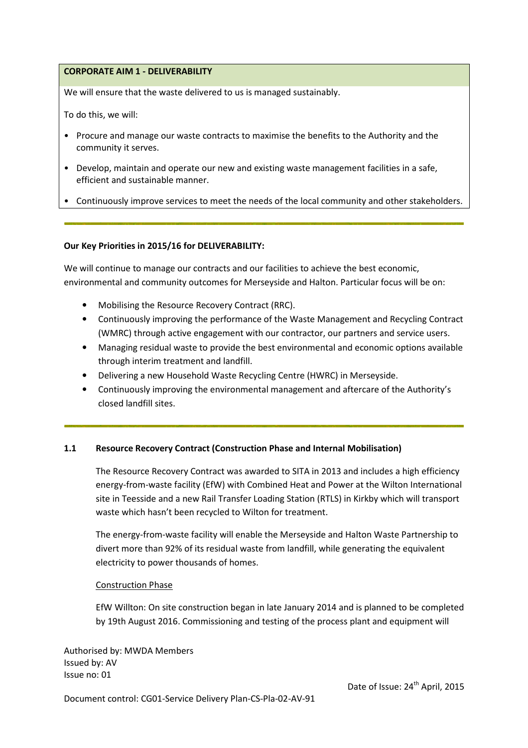## CORPORATE AIM 1 - DELIVERABILITY

We will ensure that the waste delivered to us is managed sustainably.

To do this, we will:

- Procure and manage our waste contracts to maximise the benefits to the Authority and the community it serves.
- Develop, maintain and operate our new and existing waste management facilities in a safe, efficient and sustainable manner.
- Continuously improve services to meet the needs of the local community and other stakeholders.

#### Our Key Priorities in 2015/16 for DELIVERABILITY:

We will continue to manage our contracts and our facilities to achieve the best economic, environmental and community outcomes for Merseyside and Halton. Particular focus will be on:

- Mobilising the Resource Recovery Contract (RRC).
- Continuously improving the performance of the Waste Management and Recycling Contract (WMRC) through active engagement with our contractor, our partners and service users.
- Managing residual waste to provide the best environmental and economic options available through interim treatment and landfill.
- Delivering a new Household Waste Recycling Centre (HWRC) in Merseyside.
- Continuously improving the environmental management and aftercare of the Authority's closed landfill sites.

## 1.1 Resource Recovery Contract (Construction Phase and Internal Mobilisation)

The Resource Recovery Contract was awarded to SITA in 2013 and includes a high efficiency energy-from-waste facility (EfW) with Combined Heat and Power at the Wilton International site in Teesside and a new Rail Transfer Loading Station (RTLS) in Kirkby which will transport waste which hasn't been recycled to Wilton for treatment.

The energy-from-waste facility will enable the Merseyside and Halton Waste Partnership to divert more than 92% of its residual waste from landfill, while generating the equivalent electricity to power thousands of homes.

#### Construction Phase

EfW Willton: On site construction began in late January 2014 and is planned to be completed by 19th August 2016. Commissioning and testing of the process plant and equipment will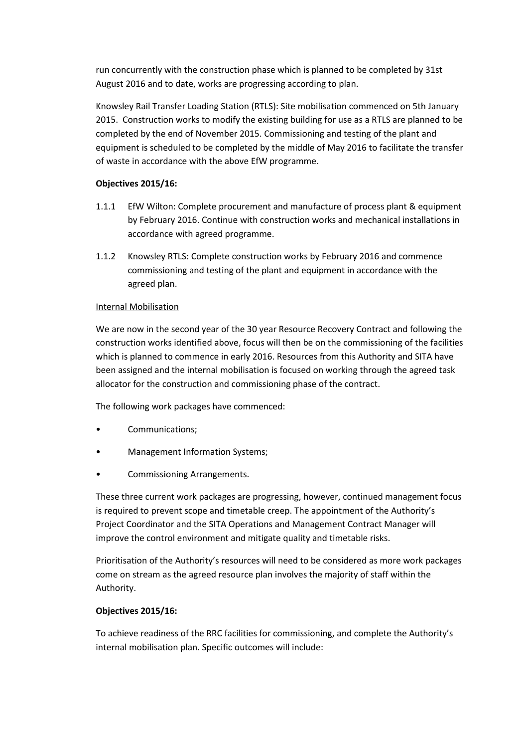run concurrently with the construction phase which is planned to be completed by 31st August 2016 and to date, works are progressing according to plan.

Knowsley Rail Transfer Loading Station (RTLS): Site mobilisation commenced on 5th January 2015. Construction works to modify the existing building for use as a RTLS are planned to be completed by the end of November 2015. Commissioning and testing of the plant and equipment is scheduled to be completed by the middle of May 2016 to facilitate the transfer of waste in accordance with the above EfW programme.

# Objectives 2015/16:

- 1.1.1 EfW Wilton: Complete procurement and manufacture of process plant & equipment by February 2016. Continue with construction works and mechanical installations in accordance with agreed programme.
- 1.1.2 Knowsley RTLS: Complete construction works by February 2016 and commence commissioning and testing of the plant and equipment in accordance with the agreed plan.

# Internal Mobilisation

We are now in the second year of the 30 year Resource Recovery Contract and following the construction works identified above, focus will then be on the commissioning of the facilities which is planned to commence in early 2016. Resources from this Authority and SITA have been assigned and the internal mobilisation is focused on working through the agreed task allocator for the construction and commissioning phase of the contract.

The following work packages have commenced:

- Communications;
- Management Information Systems;
- Commissioning Arrangements.

These three current work packages are progressing, however, continued management focus is required to prevent scope and timetable creep. The appointment of the Authority's Project Coordinator and the SITA Operations and Management Contract Manager will improve the control environment and mitigate quality and timetable risks.

Prioritisation of the Authority's resources will need to be considered as more work packages come on stream as the agreed resource plan involves the majority of staff within the Authority.

## Objectives 2015/16:

To achieve readiness of the RRC facilities for commissioning, and complete the Authority's internal mobilisation plan. Specific outcomes will include: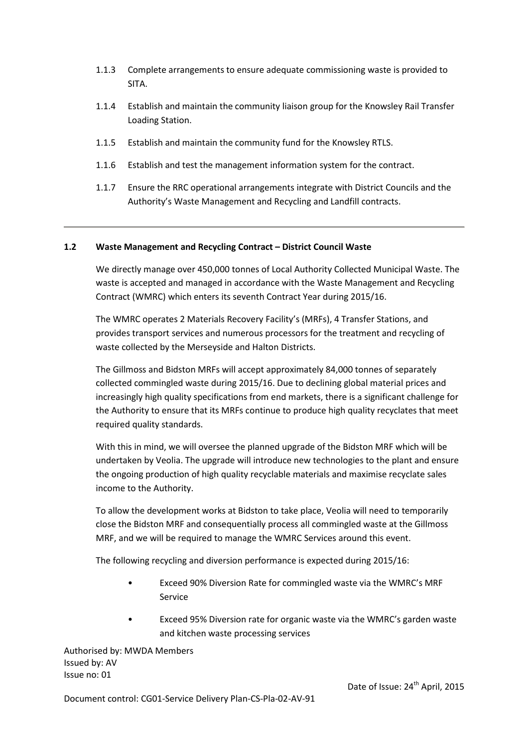- 1.1.3 Complete arrangements to ensure adequate commissioning waste is provided to SITA.
- 1.1.4 Establish and maintain the community liaison group for the Knowsley Rail Transfer Loading Station.
- 1.1.5 Establish and maintain the community fund for the Knowsley RTLS.
- 1.1.6 Establish and test the management information system for the contract.
- 1.1.7 Ensure the RRC operational arrangements integrate with District Councils and the Authority's Waste Management and Recycling and Landfill contracts.

## 1.2 Waste Management and Recycling Contract – District Council Waste

We directly manage over 450,000 tonnes of Local Authority Collected Municipal Waste. The waste is accepted and managed in accordance with the Waste Management and Recycling Contract (WMRC) which enters its seventh Contract Year during 2015/16.

The WMRC operates 2 Materials Recovery Facility's (MRFs), 4 Transfer Stations, and provides transport services and numerous processors for the treatment and recycling of waste collected by the Merseyside and Halton Districts.

The Gillmoss and Bidston MRFs will accept approximately 84,000 tonnes of separately collected commingled waste during 2015/16. Due to declining global material prices and increasingly high quality specifications from end markets, there is a significant challenge for the Authority to ensure that its MRFs continue to produce high quality recyclates that meet required quality standards.

With this in mind, we will oversee the planned upgrade of the Bidston MRF which will be undertaken by Veolia. The upgrade will introduce new technologies to the plant and ensure the ongoing production of high quality recyclable materials and maximise recyclate sales income to the Authority.

To allow the development works at Bidston to take place, Veolia will need to temporarily close the Bidston MRF and consequentially process all commingled waste at the Gillmoss MRF, and we will be required to manage the WMRC Services around this event.

The following recycling and diversion performance is expected during 2015/16:

- Exceed 90% Diversion Rate for commingled waste via the WMRC's MRF Service
- Exceed 95% Diversion rate for organic waste via the WMRC's garden waste and kitchen waste processing services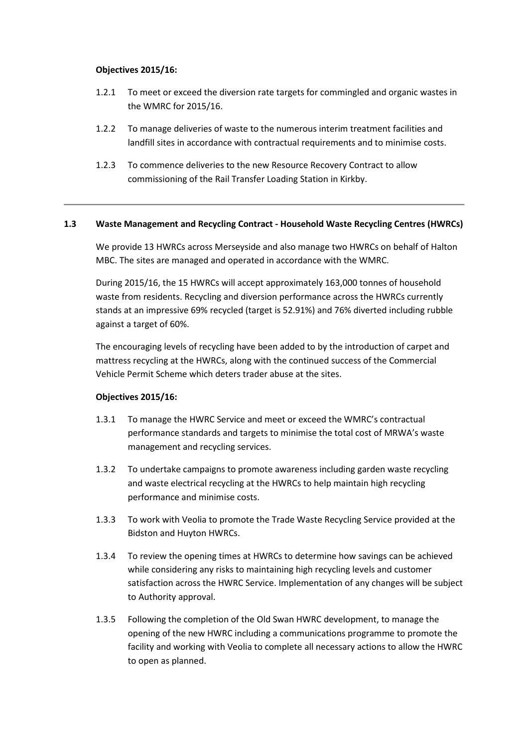## Objectives 2015/16:

- 1.2.1 To meet or exceed the diversion rate targets for commingled and organic wastes in the WMRC for 2015/16.
- 1.2.2 To manage deliveries of waste to the numerous interim treatment facilities and landfill sites in accordance with contractual requirements and to minimise costs.
- 1.2.3 To commence deliveries to the new Resource Recovery Contract to allow commissioning of the Rail Transfer Loading Station in Kirkby.

#### 1.3 Waste Management and Recycling Contract - Household Waste Recycling Centres (HWRCs)

We provide 13 HWRCs across Merseyside and also manage two HWRCs on behalf of Halton MBC. The sites are managed and operated in accordance with the WMRC.

During 2015/16, the 15 HWRCs will accept approximately 163,000 tonnes of household waste from residents. Recycling and diversion performance across the HWRCs currently stands at an impressive 69% recycled (target is 52.91%) and 76% diverted including rubble against a target of 60%.

The encouraging levels of recycling have been added to by the introduction of carpet and mattress recycling at the HWRCs, along with the continued success of the Commercial Vehicle Permit Scheme which deters trader abuse at the sites.

#### Objectives 2015/16:

- 1.3.1 To manage the HWRC Service and meet or exceed the WMRC's contractual performance standards and targets to minimise the total cost of MRWA's waste management and recycling services.
- 1.3.2 To undertake campaigns to promote awareness including garden waste recycling and waste electrical recycling at the HWRCs to help maintain high recycling performance and minimise costs.
- 1.3.3 To work with Veolia to promote the Trade Waste Recycling Service provided at the Bidston and Huyton HWRCs.
- 1.3.4 To review the opening times at HWRCs to determine how savings can be achieved while considering any risks to maintaining high recycling levels and customer satisfaction across the HWRC Service. Implementation of any changes will be subject to Authority approval.
- 1.3.5 Following the completion of the Old Swan HWRC development, to manage the opening of the new HWRC including a communications programme to promote the facility and working with Veolia to complete all necessary actions to allow the HWRC to open as planned.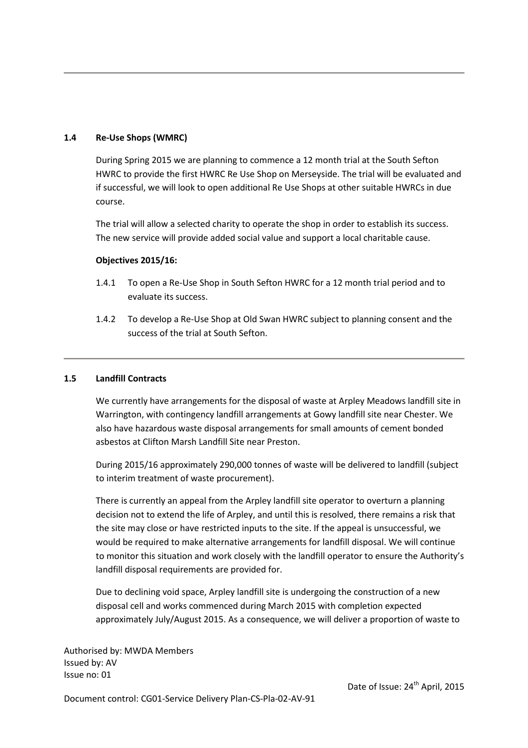# 1.4 Re-Use Shops (WMRC)

During Spring 2015 we are planning to commence a 12 month trial at the South Sefton HWRC to provide the first HWRC Re Use Shop on Merseyside. The trial will be evaluated and if successful, we will look to open additional Re Use Shops at other suitable HWRCs in due course.

The trial will allow a selected charity to operate the shop in order to establish its success. The new service will provide added social value and support a local charitable cause.

## Objectives 2015/16:

- 1.4.1 To open a Re-Use Shop in South Sefton HWRC for a 12 month trial period and to evaluate its success.
- 1.4.2 To develop a Re-Use Shop at Old Swan HWRC subject to planning consent and the success of the trial at South Sefton.

#### 1.5 Landfill Contracts

We currently have arrangements for the disposal of waste at Arpley Meadows landfill site in Warrington, with contingency landfill arrangements at Gowy landfill site near Chester. We also have hazardous waste disposal arrangements for small amounts of cement bonded asbestos at Clifton Marsh Landfill Site near Preston.

During 2015/16 approximately 290,000 tonnes of waste will be delivered to landfill (subject to interim treatment of waste procurement).

There is currently an appeal from the Arpley landfill site operator to overturn a planning decision not to extend the life of Arpley, and until this is resolved, there remains a risk that the site may close or have restricted inputs to the site. If the appeal is unsuccessful, we would be required to make alternative arrangements for landfill disposal. We will continue to monitor this situation and work closely with the landfill operator to ensure the Authority's landfill disposal requirements are provided for.

Due to declining void space, Arpley landfill site is undergoing the construction of a new disposal cell and works commenced during March 2015 with completion expected approximately July/August 2015. As a consequence, we will deliver a proportion of waste to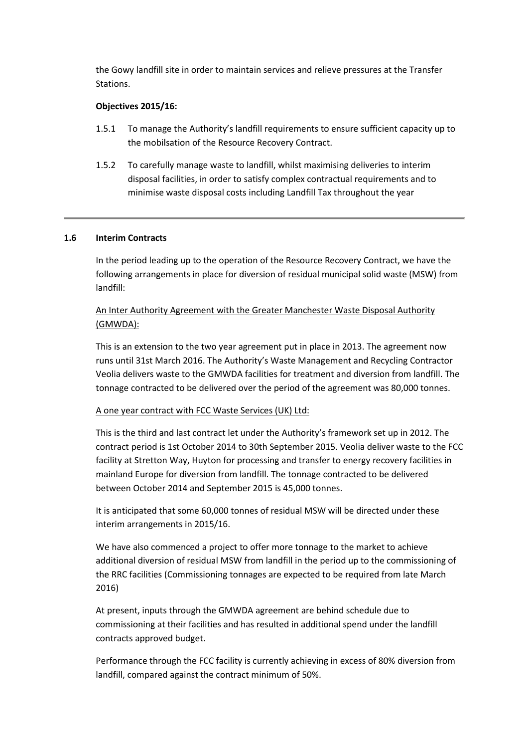the Gowy landfill site in order to maintain services and relieve pressures at the Transfer Stations.

## Objectives 2015/16:

- 1.5.1 To manage the Authority's landfill requirements to ensure sufficient capacity up to the mobilsation of the Resource Recovery Contract.
- 1.5.2 To carefully manage waste to landfill, whilst maximising deliveries to interim disposal facilities, in order to satisfy complex contractual requirements and to minimise waste disposal costs including Landfill Tax throughout the year

## 1.6 Interim Contracts

In the period leading up to the operation of the Resource Recovery Contract, we have the following arrangements in place for diversion of residual municipal solid waste (MSW) from landfill:

# An Inter Authority Agreement with the Greater Manchester Waste Disposal Authority (GMWDA):

This is an extension to the two year agreement put in place in 2013. The agreement now runs until 31st March 2016. The Authority's Waste Management and Recycling Contractor Veolia delivers waste to the GMWDA facilities for treatment and diversion from landfill. The tonnage contracted to be delivered over the period of the agreement was 80,000 tonnes.

## A one year contract with FCC Waste Services (UK) Ltd:

This is the third and last contract let under the Authority's framework set up in 2012. The contract period is 1st October 2014 to 30th September 2015. Veolia deliver waste to the FCC facility at Stretton Way, Huyton for processing and transfer to energy recovery facilities in mainland Europe for diversion from landfill. The tonnage contracted to be delivered between October 2014 and September 2015 is 45,000 tonnes.

It is anticipated that some 60,000 tonnes of residual MSW will be directed under these interim arrangements in 2015/16.

We have also commenced a project to offer more tonnage to the market to achieve additional diversion of residual MSW from landfill in the period up to the commissioning of the RRC facilities (Commissioning tonnages are expected to be required from late March 2016)

At present, inputs through the GMWDA agreement are behind schedule due to commissioning at their facilities and has resulted in additional spend under the landfill contracts approved budget.

Performance through the FCC facility is currently achieving in excess of 80% diversion from landfill, compared against the contract minimum of 50%.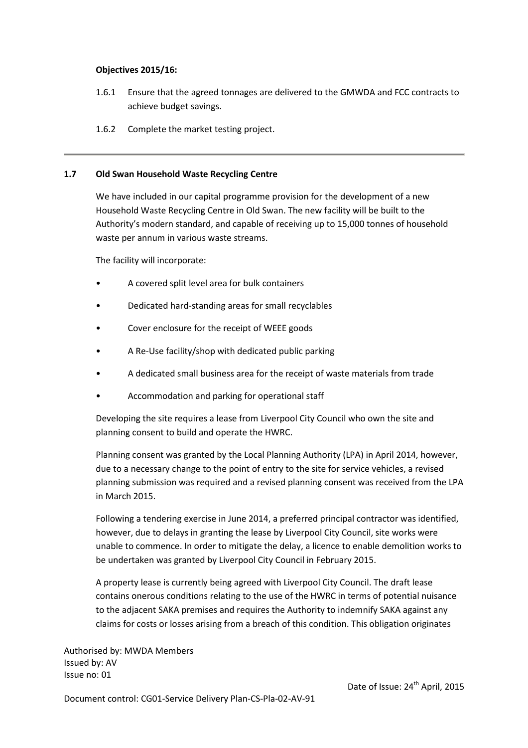## Objectives 2015/16:

- 1.6.1 Ensure that the agreed tonnages are delivered to the GMWDA and FCC contracts to achieve budget savings.
- 1.6.2 Complete the market testing project.

# 1.7 Old Swan Household Waste Recycling Centre

We have included in our capital programme provision for the development of a new Household Waste Recycling Centre in Old Swan. The new facility will be built to the Authority's modern standard, and capable of receiving up to 15,000 tonnes of household waste per annum in various waste streams.

The facility will incorporate:

- A covered split level area for bulk containers
- Dedicated hard-standing areas for small recyclables
- Cover enclosure for the receipt of WEEE goods
- A Re-Use facility/shop with dedicated public parking
- A dedicated small business area for the receipt of waste materials from trade
- Accommodation and parking for operational staff

Developing the site requires a lease from Liverpool City Council who own the site and planning consent to build and operate the HWRC.

Planning consent was granted by the Local Planning Authority (LPA) in April 2014, however, due to a necessary change to the point of entry to the site for service vehicles, a revised planning submission was required and a revised planning consent was received from the LPA in March 2015.

Following a tendering exercise in June 2014, a preferred principal contractor was identified, however, due to delays in granting the lease by Liverpool City Council, site works were unable to commence. In order to mitigate the delay, a licence to enable demolition works to be undertaken was granted by Liverpool City Council in February 2015.

A property lease is currently being agreed with Liverpool City Council. The draft lease contains onerous conditions relating to the use of the HWRC in terms of potential nuisance to the adjacent SAKA premises and requires the Authority to indemnify SAKA against any claims for costs or losses arising from a breach of this condition. This obligation originates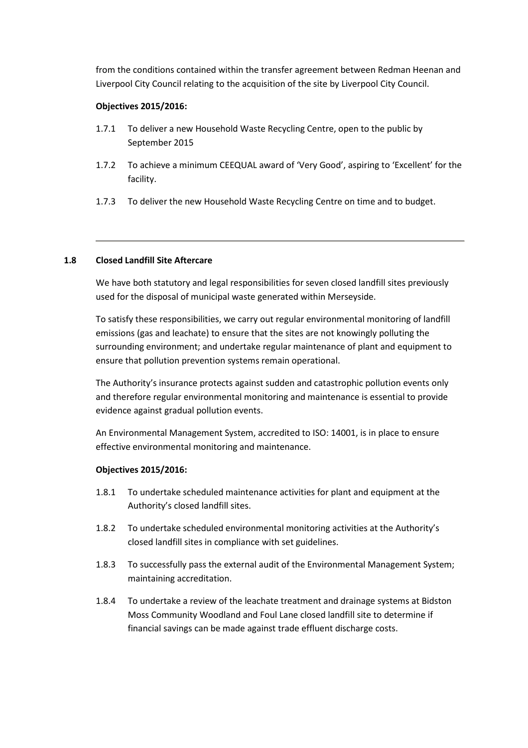from the conditions contained within the transfer agreement between Redman Heenan and Liverpool City Council relating to the acquisition of the site by Liverpool City Council.

# Objectives 2015/2016:

- 1.7.1 To deliver a new Household Waste Recycling Centre, open to the public by September 2015
- 1.7.2 To achieve a minimum CEEQUAL award of 'Very Good', aspiring to 'Excellent' for the facility.
- 1.7.3 To deliver the new Household Waste Recycling Centre on time and to budget.

# 1.8 Closed Landfill Site Aftercare

We have both statutory and legal responsibilities for seven closed landfill sites previously used for the disposal of municipal waste generated within Merseyside.

To satisfy these responsibilities, we carry out regular environmental monitoring of landfill emissions (gas and leachate) to ensure that the sites are not knowingly polluting the surrounding environment; and undertake regular maintenance of plant and equipment to ensure that pollution prevention systems remain operational.

The Authority's insurance protects against sudden and catastrophic pollution events only and therefore regular environmental monitoring and maintenance is essential to provide evidence against gradual pollution events.

An Environmental Management System, accredited to ISO: 14001, is in place to ensure effective environmental monitoring and maintenance.

## Objectives 2015/2016:

- 1.8.1 To undertake scheduled maintenance activities for plant and equipment at the Authority's closed landfill sites.
- 1.8.2 To undertake scheduled environmental monitoring activities at the Authority's closed landfill sites in compliance with set guidelines.
- 1.8.3 To successfully pass the external audit of the Environmental Management System; maintaining accreditation.
- 1.8.4 To undertake a review of the leachate treatment and drainage systems at Bidston Moss Community Woodland and Foul Lane closed landfill site to determine if financial savings can be made against trade effluent discharge costs.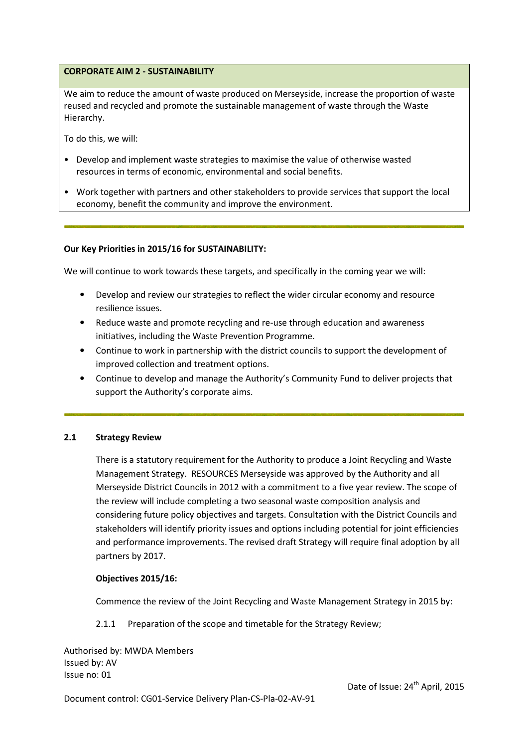# CORPORATE AIM 2 - SUSTAINABILITY

We aim to reduce the amount of waste produced on Merseyside, increase the proportion of waste reused and recycled and promote the sustainable management of waste through the Waste Hierarchy.

To do this, we will:

- Develop and implement waste strategies to maximise the value of otherwise wasted resources in terms of economic, environmental and social benefits.
- Work together with partners and other stakeholders to provide services that support the local economy, benefit the community and improve the environment.

## Our Key Priorities in 2015/16 for SUSTAINABILITY:

We will continue to work towards these targets, and specifically in the coming year we will:

- Develop and review our strategies to reflect the wider circular economy and resource resilience issues.
- Reduce waste and promote recycling and re-use through education and awareness initiatives, including the Waste Prevention Programme.
- Continue to work in partnership with the district councils to support the development of improved collection and treatment options.
- Continue to develop and manage the Authority's Community Fund to deliver projects that support the Authority's corporate aims.

## 2.1 Strategy Review

There is a statutory requirement for the Authority to produce a Joint Recycling and Waste Management Strategy. RESOURCES Merseyside was approved by the Authority and all Merseyside District Councils in 2012 with a commitment to a five year review. The scope of the review will include completing a two seasonal waste composition analysis and considering future policy objectives and targets. Consultation with the District Councils and stakeholders will identify priority issues and options including potential for joint efficiencies and performance improvements. The revised draft Strategy will require final adoption by all partners by 2017.

#### Objectives 2015/16:

Commence the review of the Joint Recycling and Waste Management Strategy in 2015 by:

2.1.1 Preparation of the scope and timetable for the Strategy Review;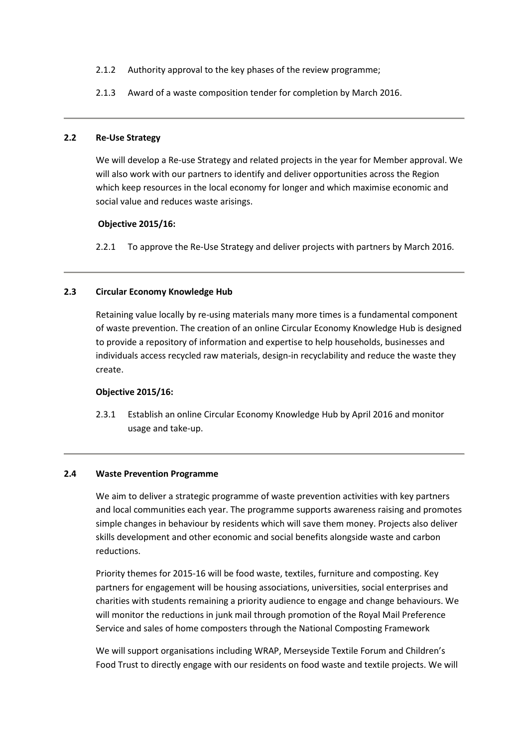- 2.1.2 Authority approval to the key phases of the review programme;
- 2.1.3 Award of a waste composition tender for completion by March 2016.

## 2.2 Re-Use Strategy

We will develop a Re-use Strategy and related projects in the year for Member approval. We will also work with our partners to identify and deliver opportunities across the Region which keep resources in the local economy for longer and which maximise economic and social value and reduces waste arisings.

#### Objective 2015/16:

2.2.1 To approve the Re-Use Strategy and deliver projects with partners by March 2016.

## 2.3 Circular Economy Knowledge Hub

Retaining value locally by re-using materials many more times is a fundamental component of waste prevention. The creation of an online Circular Economy Knowledge Hub is designed to provide a repository of information and expertise to help households, businesses and individuals access recycled raw materials, design-in recyclability and reduce the waste they create.

## Objective 2015/16:

2.3.1 Establish an online Circular Economy Knowledge Hub by April 2016 and monitor usage and take-up.

## 2.4 Waste Prevention Programme

We aim to deliver a strategic programme of waste prevention activities with key partners and local communities each year. The programme supports awareness raising and promotes simple changes in behaviour by residents which will save them money. Projects also deliver skills development and other economic and social benefits alongside waste and carbon reductions.

Priority themes for 2015-16 will be food waste, textiles, furniture and composting. Key partners for engagement will be housing associations, universities, social enterprises and charities with students remaining a priority audience to engage and change behaviours. We will monitor the reductions in junk mail through promotion of the Royal Mail Preference Service and sales of home composters through the National Composting Framework

We will support organisations including WRAP, Merseyside Textile Forum and Children's Food Trust to directly engage with our residents on food waste and textile projects. We will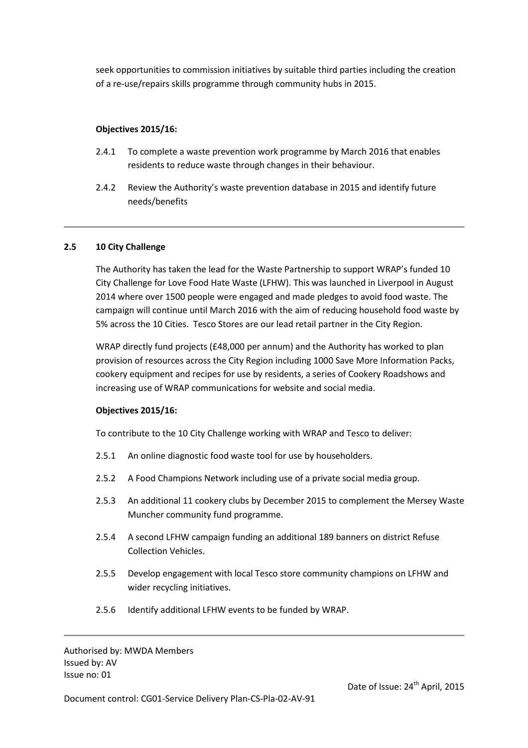seek opportunities to commission initiatives by suitable third parties including the creation of a re-use/repairs skills programme through community hubs in 2015.

# Objectives 2015/16:

- 2.4.1 To complete a waste prevention work programme by March 2016 that enables residents to reduce waste through changes in their behaviour.
- 2.4.2 Review the Authority's waste prevention database in 2015 and identify future needs/benefits

# 2.5 10 City Challenge

The Authority has taken the lead for the Waste Partnership to support WRAP's funded 10 City Challenge for Love Food Hate Waste (LFHW). This was launched in Liverpool in August 2014 where over 1500 people were engaged and made pledges to avoid food waste. The campaign will continue until March 2016 with the aim of reducing household food waste by 5% across the 10 Cities. Tesco Stores are our lead retail partner in the City Region.

WRAP directly fund projects (£48,000 per annum) and the Authority has worked to plan provision of resources across the City Region including 1000 Save More Information Packs, cookery equipment and recipes for use by residents, a series of Cookery Roadshows and increasing use of WRAP communications for website and social media.

## Objectives 2015/16:

To contribute to the 10 City Challenge working with WRAP and Tesco to deliver:

- 2.5.1 An online diagnostic food waste tool for use by householders.
- 2.5.2 A Food Champions Network including use of a private social media group.
- 2.5.3 An additional 11 cookery clubs by December 2015 to complement the Mersey Waste Muncher community fund programme.
- 2.5.4 A second LFHW campaign funding an additional 189 banners on district Refuse Collection Vehicles.
- 2.5.5 Develop engagement with local Tesco store community champions on LFHW and wider recycling initiatives.
- 2.5.6 Identify additional LFHW events to be funded by WRAP.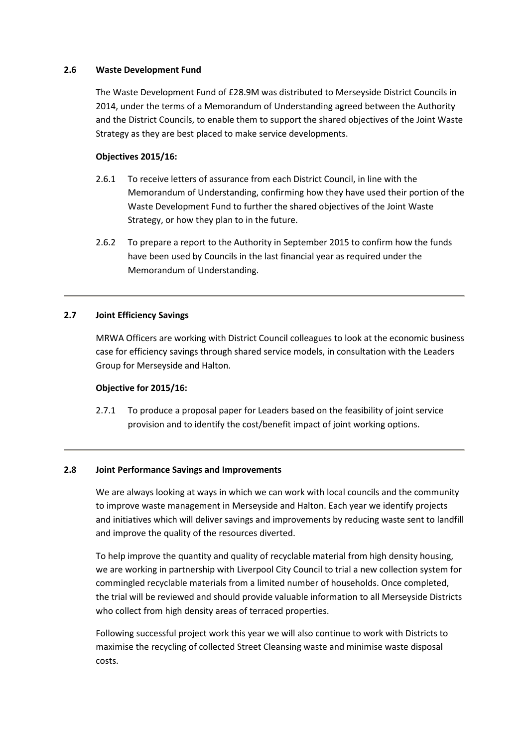## 2.6 Waste Development Fund

The Waste Development Fund of £28.9M was distributed to Merseyside District Councils in 2014, under the terms of a Memorandum of Understanding agreed between the Authority and the District Councils, to enable them to support the shared objectives of the Joint Waste Strategy as they are best placed to make service developments.

## Objectives 2015/16:

- 2.6.1 To receive letters of assurance from each District Council, in line with the Memorandum of Understanding, confirming how they have used their portion of the Waste Development Fund to further the shared objectives of the Joint Waste Strategy, or how they plan to in the future.
- 2.6.2 To prepare a report to the Authority in September 2015 to confirm how the funds have been used by Councils in the last financial year as required under the Memorandum of Understanding.

# 2.7 Joint Efficiency Savings

MRWA Officers are working with District Council colleagues to look at the economic business case for efficiency savings through shared service models, in consultation with the Leaders Group for Merseyside and Halton.

## Objective for 2015/16:

2.7.1 To produce a proposal paper for Leaders based on the feasibility of joint service provision and to identify the cost/benefit impact of joint working options.

## 2.8 Joint Performance Savings and Improvements

We are always looking at ways in which we can work with local councils and the community to improve waste management in Merseyside and Halton. Each year we identify projects and initiatives which will deliver savings and improvements by reducing waste sent to landfill and improve the quality of the resources diverted.

To help improve the quantity and quality of recyclable material from high density housing, we are working in partnership with Liverpool City Council to trial a new collection system for commingled recyclable materials from a limited number of households. Once completed, the trial will be reviewed and should provide valuable information to all Merseyside Districts who collect from high density areas of terraced properties.

Following successful project work this year we will also continue to work with Districts to maximise the recycling of collected Street Cleansing waste and minimise waste disposal costs.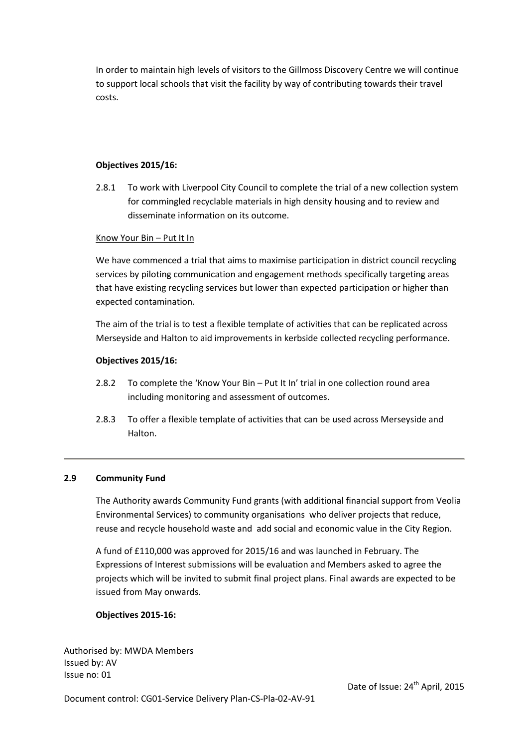In order to maintain high levels of visitors to the Gillmoss Discovery Centre we will continue to support local schools that visit the facility by way of contributing towards their travel costs.

# Objectives 2015/16:

2.8.1 To work with Liverpool City Council to complete the trial of a new collection system for commingled recyclable materials in high density housing and to review and disseminate information on its outcome.

## Know Your Bin – Put It In

We have commenced a trial that aims to maximise participation in district council recycling services by piloting communication and engagement methods specifically targeting areas that have existing recycling services but lower than expected participation or higher than expected contamination.

The aim of the trial is to test a flexible template of activities that can be replicated across Merseyside and Halton to aid improvements in kerbside collected recycling performance.

## Objectives 2015/16:

- 2.8.2 To complete the 'Know Your Bin Put It In' trial in one collection round area including monitoring and assessment of outcomes.
- 2.8.3 To offer a flexible template of activities that can be used across Merseyside and Halton.

## 2.9 Community Fund

The Authority awards Community Fund grants (with additional financial support from Veolia Environmental Services) to community organisations who deliver projects that reduce, reuse and recycle household waste and add social and economic value in the City Region.

A fund of £110,000 was approved for 2015/16 and was launched in February. The Expressions of Interest submissions will be evaluation and Members asked to agree the projects which will be invited to submit final project plans. Final awards are expected to be issued from May onwards.

## Objectives 2015-16: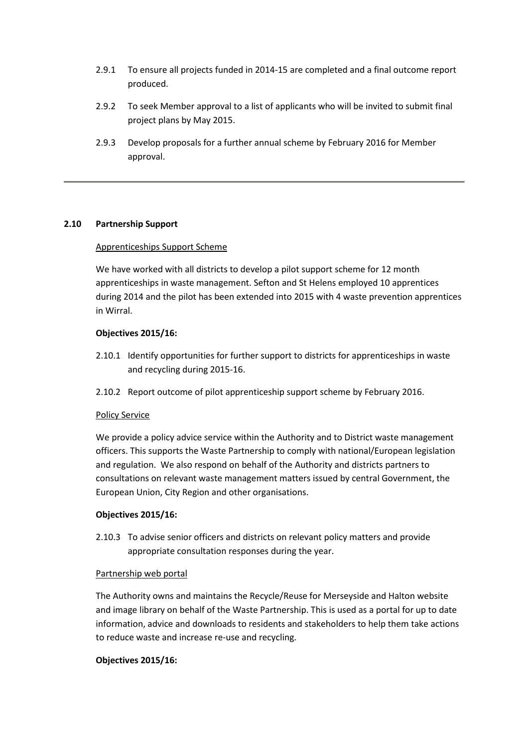- 2.9.1 To ensure all projects funded in 2014-15 are completed and a final outcome report produced.
- 2.9.2 To seek Member approval to a list of applicants who will be invited to submit final project plans by May 2015.
- 2.9.3 Develop proposals for a further annual scheme by February 2016 for Member approval.

# 2.10 Partnership Support

## Apprenticeships Support Scheme

We have worked with all districts to develop a pilot support scheme for 12 month apprenticeships in waste management. Sefton and St Helens employed 10 apprentices during 2014 and the pilot has been extended into 2015 with 4 waste prevention apprentices in Wirral.

## Objectives 2015/16:

- 2.10.1 Identify opportunities for further support to districts for apprenticeships in waste and recycling during 2015-16.
- 2.10.2 Report outcome of pilot apprenticeship support scheme by February 2016.

#### Policy Service

We provide a policy advice service within the Authority and to District waste management officers. This supports the Waste Partnership to comply with national/European legislation and regulation. We also respond on behalf of the Authority and districts partners to consultations on relevant waste management matters issued by central Government, the European Union, City Region and other organisations.

#### Objectives 2015/16:

2.10.3 To advise senior officers and districts on relevant policy matters and provide appropriate consultation responses during the year.

#### Partnership web portal

The Authority owns and maintains the Recycle/Reuse for Merseyside and Halton website and image library on behalf of the Waste Partnership. This is used as a portal for up to date information, advice and downloads to residents and stakeholders to help them take actions to reduce waste and increase re-use and recycling.

#### Objectives 2015/16: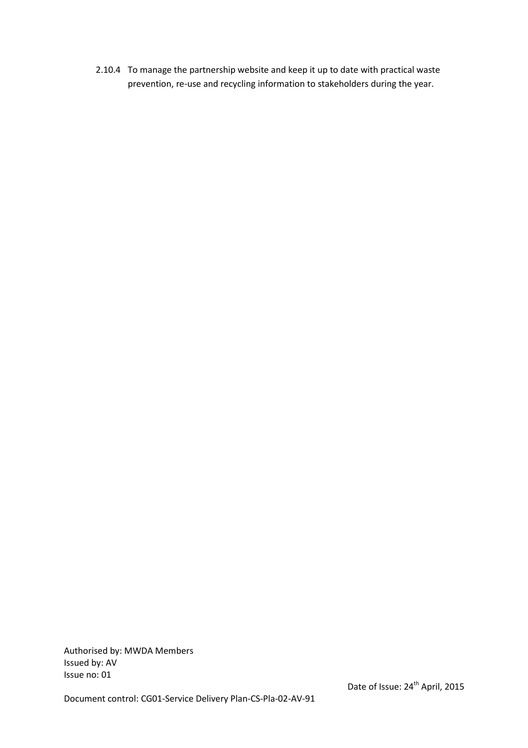2.10.4 To manage the partnership website and keep it up to date with practical waste prevention, re-use and recycling information to stakeholders during the year.

Authorised by: MWDA Members Issued by: AV Issue no: 01

Document control: CG01-Service Delivery Plan-CS-Pla-02-AV-91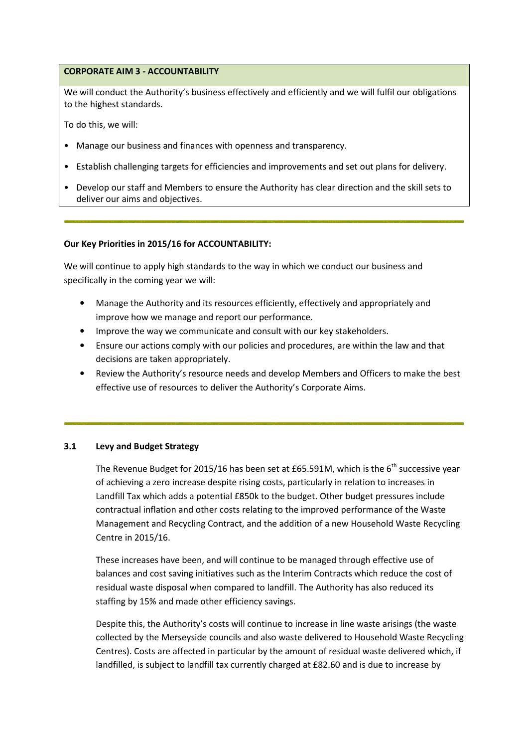# CORPORATE AIM 3 - ACCOUNTABILITY

We will conduct the Authority's business effectively and efficiently and we will fulfil our obligations to the highest standards.

To do this, we will:

- Manage our business and finances with openness and transparency.
- Establish challenging targets for efficiencies and improvements and set out plans for delivery.
- Develop our staff and Members to ensure the Authority has clear direction and the skill sets to deliver our aims and objectives.

## Our Key Priorities in 2015/16 for ACCOUNTABILITY:

We will continue to apply high standards to the way in which we conduct our business and specifically in the coming year we will:

- Manage the Authority and its resources efficiently, effectively and appropriately and improve how we manage and report our performance.
- Improve the way we communicate and consult with our key stakeholders.
- Ensure our actions comply with our policies and procedures, are within the law and that decisions are taken appropriately.
- Review the Authority's resource needs and develop Members and Officers to make the best effective use of resources to deliver the Authority's Corporate Aims.

## 3.1 Levy and Budget Strategy

The Revenue Budget for 2015/16 has been set at £65.591M, which is the  $6<sup>th</sup>$  successive year of achieving a zero increase despite rising costs, particularly in relation to increases in Landfill Tax which adds a potential £850k to the budget. Other budget pressures include contractual inflation and other costs relating to the improved performance of the Waste Management and Recycling Contract, and the addition of a new Household Waste Recycling Centre in 2015/16.

These increases have been, and will continue to be managed through effective use of balances and cost saving initiatives such as the Interim Contracts which reduce the cost of residual waste disposal when compared to landfill. The Authority has also reduced its staffing by 15% and made other efficiency savings.

Despite this, the Authority's costs will continue to increase in line waste arisings (the waste collected by the Merseyside councils and also waste delivered to Household Waste Recycling Centres). Costs are affected in particular by the amount of residual waste delivered which, if landfilled, is subject to landfill tax currently charged at £82.60 and is due to increase by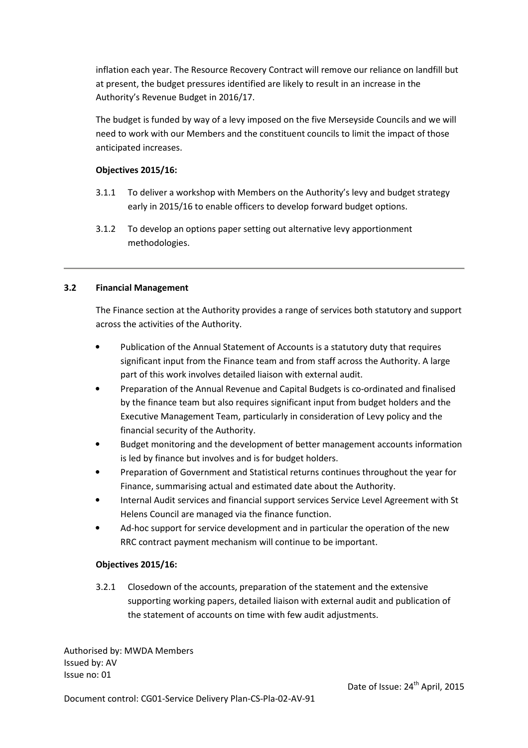inflation each year. The Resource Recovery Contract will remove our reliance on landfill but at present, the budget pressures identified are likely to result in an increase in the Authority's Revenue Budget in 2016/17.

The budget is funded by way of a levy imposed on the five Merseyside Councils and we will need to work with our Members and the constituent councils to limit the impact of those anticipated increases.

# Objectives 2015/16:

- 3.1.1 To deliver a workshop with Members on the Authority's levy and budget strategy early in 2015/16 to enable officers to develop forward budget options.
- 3.1.2 To develop an options paper setting out alternative levy apportionment methodologies.

# 3.2 Financial Management

The Finance section at the Authority provides a range of services both statutory and support across the activities of the Authority.

- Publication of the Annual Statement of Accounts is a statutory duty that requires significant input from the Finance team and from staff across the Authority. A large part of this work involves detailed liaison with external audit.
- Preparation of the Annual Revenue and Capital Budgets is co-ordinated and finalised by the finance team but also requires significant input from budget holders and the Executive Management Team, particularly in consideration of Levy policy and the financial security of the Authority.
- Budget monitoring and the development of better management accounts information is led by finance but involves and is for budget holders.
- Preparation of Government and Statistical returns continues throughout the year for Finance, summarising actual and estimated date about the Authority.
- Internal Audit services and financial support services Service Level Agreement with St Helens Council are managed via the finance function.
- Ad-hoc support for service development and in particular the operation of the new RRC contract payment mechanism will continue to be important.

## Objectives 2015/16:

3.2.1 Closedown of the accounts, preparation of the statement and the extensive supporting working papers, detailed liaison with external audit and publication of the statement of accounts on time with few audit adjustments.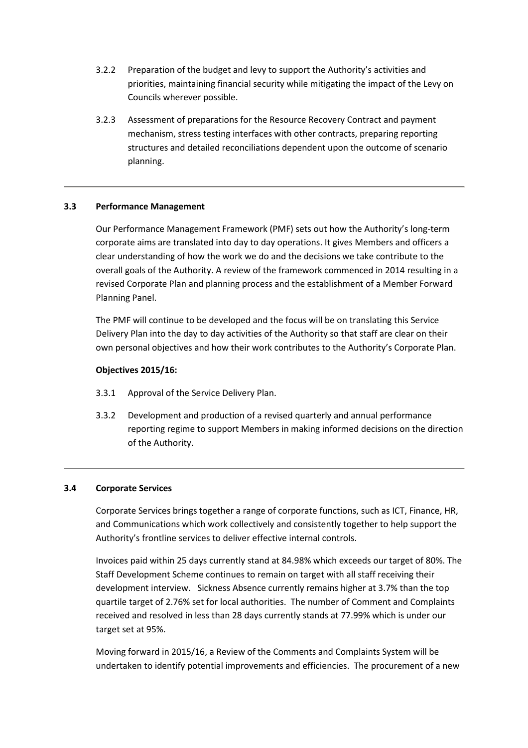- 3.2.2 Preparation of the budget and levy to support the Authority's activities and priorities, maintaining financial security while mitigating the impact of the Levy on Councils wherever possible.
- 3.2.3 Assessment of preparations for the Resource Recovery Contract and payment mechanism, stress testing interfaces with other contracts, preparing reporting structures and detailed reconciliations dependent upon the outcome of scenario planning.

# 3.3 Performance Management

Our Performance Management Framework (PMF) sets out how the Authority's long-term corporate aims are translated into day to day operations. It gives Members and officers a clear understanding of how the work we do and the decisions we take contribute to the overall goals of the Authority. A review of the framework commenced in 2014 resulting in a revised Corporate Plan and planning process and the establishment of a Member Forward Planning Panel.

The PMF will continue to be developed and the focus will be on translating this Service Delivery Plan into the day to day activities of the Authority so that staff are clear on their own personal objectives and how their work contributes to the Authority's Corporate Plan.

## Objectives 2015/16:

- 3.3.1 Approval of the Service Delivery Plan.
- 3.3.2 Development and production of a revised quarterly and annual performance reporting regime to support Members in making informed decisions on the direction of the Authority.

## 3.4 Corporate Services

Corporate Services brings together a range of corporate functions, such as ICT, Finance, HR, and Communications which work collectively and consistently together to help support the Authority's frontline services to deliver effective internal controls.

Invoices paid within 25 days currently stand at 84.98% which exceeds our target of 80%. The Staff Development Scheme continues to remain on target with all staff receiving their development interview. Sickness Absence currently remains higher at 3.7% than the top quartile target of 2.76% set for local authorities. The number of Comment and Complaints received and resolved in less than 28 days currently stands at 77.99% which is under our target set at 95%.

Moving forward in 2015/16, a Review of the Comments and Complaints System will be undertaken to identify potential improvements and efficiencies. The procurement of a new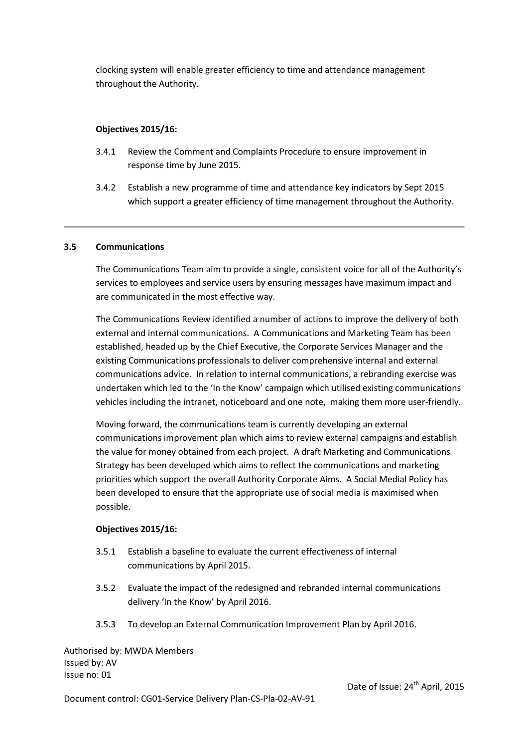clocking system will enable greater efficiency to time and attendance management throughout the Authority.

# Objectives 2015/16:

- 3.4.1 Review the Comment and Complaints Procedure to ensure improvement in response time by June 2015.
- 3.4.2 Establish a new programme of time and attendance key indicators by Sept 2015 which support a greater efficiency of time management throughout the Authority.

## 3.5 Communications

The Communications Team aim to provide a single, consistent voice for all of the Authority's services to employees and service users by ensuring messages have maximum impact and are communicated in the most effective way.

The Communications Review identified a number of actions to improve the delivery of both external and internal communications. A Communications and Marketing Team has been established, headed up by the Chief Executive, the Corporate Services Manager and the existing Communications professionals to deliver comprehensive internal and external communications advice. In relation to internal communications, a rebranding exercise was undertaken which led to the 'In the Know' campaign which utilised existing communications vehicles including the intranet, noticeboard and one note, making them more user-friendly.

Moving forward, the communications team is currently developing an external communications improvement plan which aims to review external campaigns and establish the value for money obtained from each project. A draft Marketing and Communications Strategy has been developed which aims to reflect the communications and marketing priorities which support the overall Authority Corporate Aims. A Social Medial Policy has been developed to ensure that the appropriate use of social media is maximised when possible.

## Objectives 2015/16:

- 3.5.1 Establish a baseline to evaluate the current effectiveness of internal communications by April 2015.
- 3.5.2 Evaluate the impact of the redesigned and rebranded internal communications delivery 'In the Know' by April 2016.
- 3.5.3 To develop an External Communication Improvement Plan by April 2016.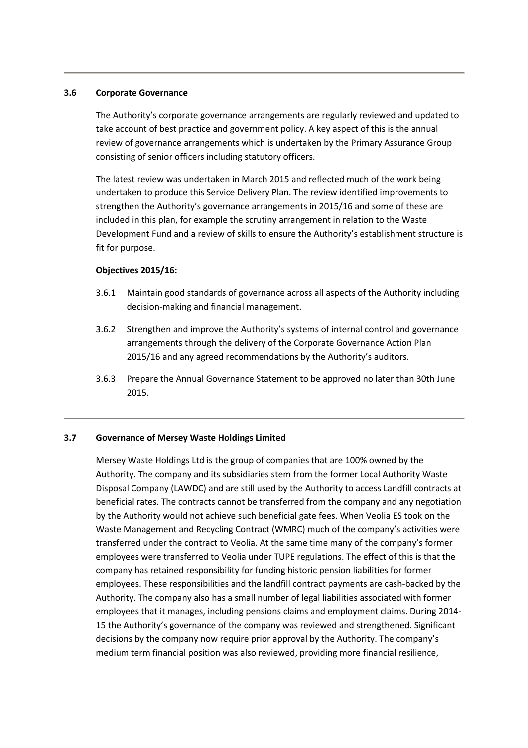#### 3.6 Corporate Governance

The Authority's corporate governance arrangements are regularly reviewed and updated to take account of best practice and government policy. A key aspect of this is the annual review of governance arrangements which is undertaken by the Primary Assurance Group consisting of senior officers including statutory officers.

The latest review was undertaken in March 2015 and reflected much of the work being undertaken to produce this Service Delivery Plan. The review identified improvements to strengthen the Authority's governance arrangements in 2015/16 and some of these are included in this plan, for example the scrutiny arrangement in relation to the Waste Development Fund and a review of skills to ensure the Authority's establishment structure is fit for purpose.

#### Objectives 2015/16:

- 3.6.1 Maintain good standards of governance across all aspects of the Authority including decision-making and financial management.
- 3.6.2 Strengthen and improve the Authority's systems of internal control and governance arrangements through the delivery of the Corporate Governance Action Plan 2015/16 and any agreed recommendations by the Authority's auditors.
- 3.6.3 Prepare the Annual Governance Statement to be approved no later than 30th June 2015.

## 3.7 Governance of Mersey Waste Holdings Limited

Mersey Waste Holdings Ltd is the group of companies that are 100% owned by the Authority. The company and its subsidiaries stem from the former Local Authority Waste Disposal Company (LAWDC) and are still used by the Authority to access Landfill contracts at beneficial rates. The contracts cannot be transferred from the company and any negotiation by the Authority would not achieve such beneficial gate fees. When Veolia ES took on the Waste Management and Recycling Contract (WMRC) much of the company's activities were transferred under the contract to Veolia. At the same time many of the company's former employees were transferred to Veolia under TUPE regulations. The effect of this is that the company has retained responsibility for funding historic pension liabilities for former employees. These responsibilities and the landfill contract payments are cash-backed by the Authority. The company also has a small number of legal liabilities associated with former employees that it manages, including pensions claims and employment claims. During 2014- 15 the Authority's governance of the company was reviewed and strengthened. Significant decisions by the company now require prior approval by the Authority. The company's medium term financial position was also reviewed, providing more financial resilience,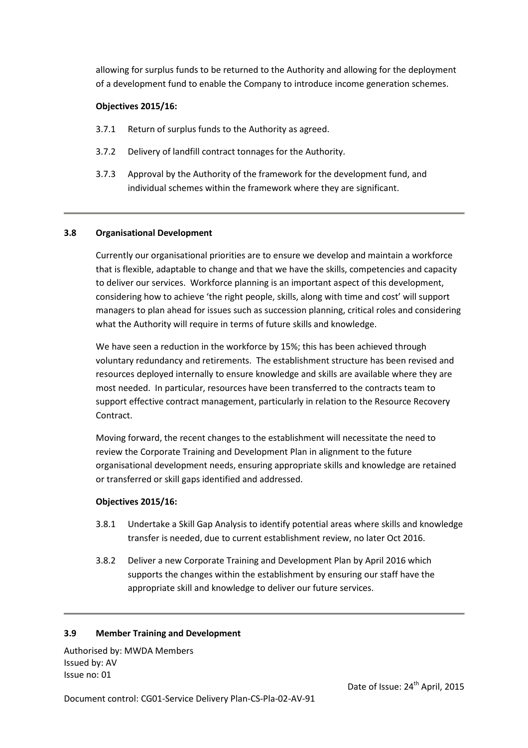allowing for surplus funds to be returned to the Authority and allowing for the deployment of a development fund to enable the Company to introduce income generation schemes.

# Objectives 2015/16:

- 3.7.1 Return of surplus funds to the Authority as agreed.
- 3.7.2 Delivery of landfill contract tonnages for the Authority.
- 3.7.3 Approval by the Authority of the framework for the development fund, and individual schemes within the framework where they are significant.

## 3.8 Organisational Development

Currently our organisational priorities are to ensure we develop and maintain a workforce that is flexible, adaptable to change and that we have the skills, competencies and capacity to deliver our services. Workforce planning is an important aspect of this development, considering how to achieve 'the right people, skills, along with time and cost' will support managers to plan ahead for issues such as succession planning, critical roles and considering what the Authority will require in terms of future skills and knowledge.

We have seen a reduction in the workforce by 15%; this has been achieved through voluntary redundancy and retirements. The establishment structure has been revised and resources deployed internally to ensure knowledge and skills are available where they are most needed. In particular, resources have been transferred to the contracts team to support effective contract management, particularly in relation to the Resource Recovery Contract.

Moving forward, the recent changes to the establishment will necessitate the need to review the Corporate Training and Development Plan in alignment to the future organisational development needs, ensuring appropriate skills and knowledge are retained or transferred or skill gaps identified and addressed.

## Objectives 2015/16:

- 3.8.1 Undertake a Skill Gap Analysis to identify potential areas where skills and knowledge transfer is needed, due to current establishment review, no later Oct 2016.
- 3.8.2 Deliver a new Corporate Training and Development Plan by April 2016 which supports the changes within the establishment by ensuring our staff have the appropriate skill and knowledge to deliver our future services.

## 3.9 Member Training and Development